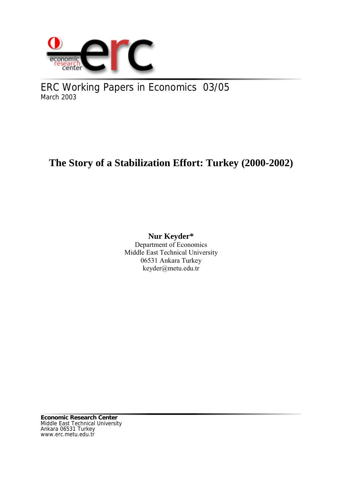

ERC Working Papers in Economics 03/05 March 2003

# **The Story of a Stabilization Effort: Turkey (2000-2002)**

# **Nur Keyder\***

Department of Economics Middle East Technical University 06531 Ankara Turkey keyder@metu.edu.tr

**Economic Research Center** Middle East Technical University Ankara 06531 Turkey www.erc.metu.edu.tr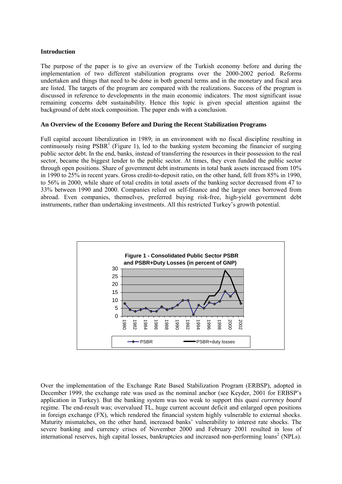#### **Introduction**

The purpose of the paper is to give an overview of the Turkish economy before and during the implementation of two different stabilization programs over the 2000-2002 period. Reforms undertaken and things that need to be done in both general terms and in the monetary and fiscal area are listed. The targets of the program are compared with the realizations. Success of the program is discussed in reference to developments in the main economic indicators. The most significant issue remaining concerns debt sustainability. Hence this topic is given special attention against the background of debt stock composition. The paper ends with a conclusion.

#### **An Overview of the Economy Before and During the Recent Stabilization Programs**

Full capital account liberalization in 1989; in an environment with no fiscal discipline resulting in continuously rising  $PSBR<sup>1</sup>$  (Figure 1), led to the banking system becoming the financier of surging public sector debt. In the end, banks, instead of transferring the resources in their possession to the real sector, became the biggest lender to the public sector. At times, they even funded the public sector through open positions. Share of government debt instruments in total bank assets increased from 10% in 1990 to 25% in recent years. Gross credit-to-deposit ratio, on the other hand, fell from 85% in 1990, to 56% in 2000, while share of total credits in total assets of the banking sector decreased from 47 to 33% between 1990 and 2000. Companies relied on self-finance and the larger ones borrowed from abroad. Even companies, themselves, preferred buying risk-free, high-yield government debt instruments, rather than undertaking investments. All this restricted Turkey's growth potential.



Over the implementation of the Exchange Rate Based Stabilization Program (ERBSP), adopted in December 1999, the exchange rate was used as the nominal anchor (see Keyder, 2001 for ERBSP's application in Turkey). But the banking system was too weak to support this *quasi currency board* regime. The end-result was; overvalued TL, huge current account deficit and enlarged open positions in foreign exchange (FX), which rendered the financial system highly vulnerable to external shocks. Maturity mismatches, on the other hand, increased banks' vulnerability to interest rate shocks. The severe banking and currency crises of November 2000 and February 2001 resulted in loss of international reserves, high capital losses, bankruptcies and increased non-performing loans<sup>2</sup> (NPLs).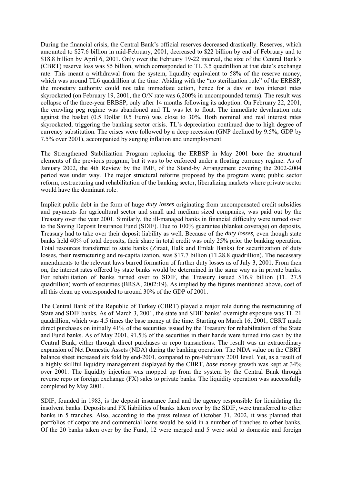During the financial crisis, the Central Bank's official reserves decreased drastically. Reserves, which amounted to \$27.6 billion in mid-February, 2001, decreased to \$22 billion by end of February and to \$18.8 billion by April 6, 2001. Only over the February 19-22 interval, the size of the Central Bank's (CBRT) reserve loss was \$5 billion, which corresponded to TL 3.5 quadrillion at that date's exchange rate. This meant a withdrawal from the system, liquidity equivalent to 58% of the reserve money, which was around TL6 quadrillion at the time. Abiding with the "no sterilization rule" of the ERBSP, the monetary authority could not take immediate action, hence for a day or two interest rates skyrocketed (on February 19, 2001, the O/N rate was 6,200% in uncompounded terms). The result was collapse of the three-year ERBSP, only after 14 months following its adoption. On February 22, 2001, the crawling peg regime was abandoned and TL was let to float. The immediate devaluation rate against the basket (0.5 Dollar+0.5 Euro) was close to 30%. Both nominal and real interest rates skyrocketed, triggering the banking sector crisis. TL's depreciation continued due to high degree of currency substitution. The crises were followed by a deep recession (GNP declined by 9.5%, GDP by 7.5% over 2001), accompanied by surging inflation and unemployment.

The Strengthened Stabilization Program replacing the ERBSP in May 2001 bore the structural elements of the previous program; but it was to be enforced under a floating currency regime. As of January 2002, the 4th Review by the IMF, of the Stand-by Arrangement covering the 2002-2004 period was under way. The major structural reforms proposed by the program were; public sector reform, restructuring and rehabilitation of the banking sector, liberalizing markets where private sector would have the dominant role.

Implicit public debt in the form of huge *duty losses* originating from uncompensated credit subsidies and payments for agricultural sector and small and medium sized companies, was paid out by the Treasury over the year 2001. Similarly, the ill-managed banks in financial difficulty were turned over to the Saving Deposit Insurance Fund (SDIF). Due to 100% guarantee (blanket coverage) on deposits, Treasury had to take over their deposit liability as well. Because of the *duty losses*, even though state banks held 40% of total deposits, their share in total credit was only 25% prior the banking operation. Total resources transferred to state banks (Ziraat, Halk and Emlak Banks) for securitization of duty losses, their restructuring and re-capitalization, was \$17.7 billion (TL28.8 quadrillion). The necessary amendments to the relevant laws barred formation of further duty losses as of July 3, 2001. From then on, the interest rates offered by state banks would be determined in the same way as in private banks. For rehabilitation of banks turned over to SDIF, the Treasury issued \$16.9 billion (TL 27.5 quadrillion) worth of securities (BRSA, 2002:19). As implied by the figures mentioned above, cost of all this clean up corresponded to around 30% of the GDP of 2001.

The Central Bank of the Republic of Turkey (CBRT) played a major role during the restructuring of State and SDIF banks. As of March 3, 2001, the state and SDIF banks' overnight exposure was TL 21 quadrillion, which was 4.5 times the base money at the time. Starting on March 16, 2001, CBRT made direct purchases on initially 41% of the securities issued by the Treasury for rehabilitation of the State and Fund banks. As of May 2001, 91.5% of the securities in their hands were turned into cash by the Central Bank, either through direct purchases or repo transactions. The result was an extraordinary expansion of Net Domestic Assets (NDA) during the banking operation. The NDA value on the CBRT balance sheet increased six fold by end-2001, compared to pre-February 2001 level. Yet, as a result of a highly skillful liquidity management displayed by the CBRT, *base money* growth was kept at 34% over 2001. The liquidity injection was mopped up from the system by the Central Bank through reverse repo or foreign exchange (FX) sales to private banks. The liquidity operation was successfully completed by May 2001.

SDIF, founded in 1983, is the deposit insurance fund and the agency responsible for liquidating the insolvent banks. Deposits and FX liabilities of banks taken over by the SDIF, were transferred to other banks in 5 tranches. Also, according to the press release of October 31, 2002, it was planned that portfolios of corporate and commercial loans would be sold in a number of tranches to other banks. Of the 20 banks taken over by the Fund, 12 were merged and 5 were sold to domestic and foreign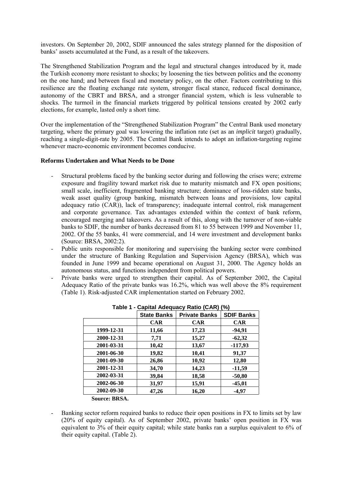investors. On September 20, 2002, SDIF announced the sales strategy planned for the disposition of banks' assets accumulated at the Fund, as a result of the takeovers.

The Strengthened Stabilization Program and the legal and structural changes introduced by it, made the Turkish economy more resistant to shocks; by loosening the ties between politics and the economy on the one hand; and between fiscal and monetary policy, on the other. Factors contributing to this resilience are the floating exchange rate system, stronger fiscal stance, reduced fiscal dominance, autonomy of the CBRT and BRSA, and a stronger financial system, which is less vulnerable to shocks. The turmoil in the financial markets triggered by political tensions created by 2002 early elections, for example, lasted only a short time.

Over the implementation of the "Strengthened Stabilization Program" the Central Bank used monetary targeting, where the primary goal was lowering the inflation rate (set as an *implicit* target) gradually, reaching a single-digit-rate by 2005. The Central Bank intends to adopt an inflation-targeting regime whenever macro-economic environment becomes conducive.

#### **Reforms Undertaken and What Needs to be Done**

- Structural problems faced by the banking sector during and following the crises were; extreme exposure and fragility toward market risk due to maturity mismatch and FX open positions; small scale, inefficient, fragmented banking structure; dominance of loss-ridden state banks, weak asset quality (group banking, mismatch between loans and provisions, low capital adequacy ratio (CAR)), lack of transparency; inadequate internal control, risk management and corporate governance. Tax advantages extended within the context of bank reform, encouraged merging and takeovers. As a result of this, along with the turnover of non-viable banks to SDIF, the number of banks decreased from 81 to 55 between 1999 and November 11, 2002. Of the 55 banks, 41 were commercial, and 14 were investment and development banks (Source: BRSA, 2002:2).
- Public units responsible for monitoring and supervising the banking sector were combined under the structure of Banking Regulation and Supervision Agency (BRSA), which was founded in June 1999 and became operational on August 31, 2000. The Agency holds an autonomous status, and functions independent from political powers.
- Private banks were urged to strengthen their capital. As of September 2002, the Capital Adequacy Ratio of the private banks was 16.2%, which was well above the 8% requirement (Table 1). Risk-adjusted CAR implementation started on February 2002.

| ו שושו     |                    | Saphai Adogddoy Italio (SAIT) | <b>1701</b>       |
|------------|--------------------|-------------------------------|-------------------|
|            | <b>State Banks</b> | <b>Private Banks</b>          | <b>SDIF Banks</b> |
|            | <b>CAR</b>         | <b>CAR</b>                    | <b>CAR</b>        |
| 1999-12-31 | 11,66              | 17,23                         | $-94,91$          |
| 2000-12-31 | 7,71               | 15,27                         | $-62,32$          |
| 2001-03-31 | 10,42              | 13,67                         | $-117,93$         |
| 2001-06-30 | 19,82              | 10,41                         | 91,37             |
| 2001-09-30 | 26,86              | 10,92                         | 12,80             |
| 2001-12-31 | 34,70              | 14,23                         | $-11,59$          |
| 2002-03-31 | 39,84              | 18,58                         | $-50,80$          |
| 2002-06-30 | 31,97              | 15,91                         | $-45,01$          |
| 2002-09-30 | 47,26              | 16,20                         | $-4,97$           |
|            |                    |                               |                   |

| Table 1 - Capital Adequacy Ratio (CAR) (%) |  |  |
|--------------------------------------------|--|--|
|--------------------------------------------|--|--|

Banking sector reform required banks to reduce their open positions in FX to limits set by law (20% of equity capital). As of September 2002, private banks' open position in FX was equivalent to 3% of their equity capital; while state banks ran a surplus equivalent to 6% of their equity capital. (Table 2).

**Source: BRSA.**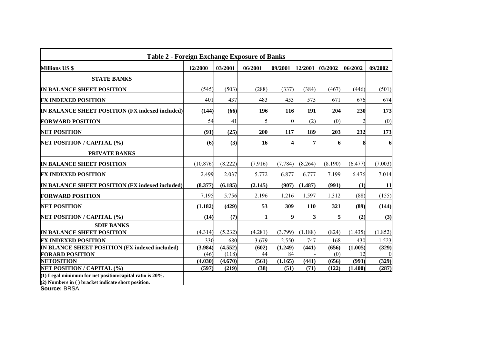| <b>Table 2 - Foreign Exchange Exposure of Banks</b> |          |         |         |          |         |         |                |         |
|-----------------------------------------------------|----------|---------|---------|----------|---------|---------|----------------|---------|
| <b>Millions US \$</b>                               | 12/2000  | 03/2001 | 06/2001 | 09/2001  | 12/2001 | 03/2002 | 06/2002        | 09/2002 |
| <b>STATE BANKS</b>                                  |          |         |         |          |         |         |                |         |
| IN BALANCE SHEET POSITION                           | (545)    | (503)   | (288)   | (337)    | (384)   | (467)   | (446)          | (501)   |
| <b>FX INDEXED POSITION</b>                          | 401      | 437     | 483     | 453      | 575     | 671     | 676            | 674     |
| IN BALANCE SHEET POSITION (FX indexed included)     | (144)    | (66)    | 196     | 116      | 191     | 204     | 230            | 173     |
| <b>FORWARD POSITION</b>                             | 54       | 41      |         | $\Omega$ | (2)     | (0)     | $\overline{2}$ | (0)     |
| <b>NET POSITION</b>                                 | (91)     | (25)    | 200     | 117      | 189     | 203     | 232            | 173     |
| <b>NET POSITION / CAPITAL (%)</b>                   | (6)      | (3)     | 16      |          | 7       |         | 8              | 6       |
| <b>PRIVATE BANKS</b>                                |          |         |         |          |         |         |                |         |
| IN BALANCE SHEET POSITION                           | (10.876) | (8.222) | (7.916) | (7.784)  | (8.264) | (8.190) | (6.477)        | (7.003) |
| <b>FX INDEXED POSITION</b>                          | 2.499    | 2.037   | 5.772   | 6.877    | 6.777   | 7.199   | 6.476          | 7.014   |
| IN BALANCE SHEET POSITION (FX indexed included)     | (8.377)  | (6.185) | (2.145) | (907)    | (1.487) | (991)   | (1)            | 11      |
| <b>FORWARD POSITION</b>                             | 7.195    | 5.756   | 2.196   | 1.216    | 1.597   | 1.312   | (88)           | (155)   |
| <b>NET POSITION</b>                                 | (1.182)  | (429)   | 53      | 309      | 110     | 321     | (89)           | (144)   |
| NET POSITION / CAPITAL (%)                          | (14)     | (7)     |         | 9        | 3       |         | (2)            | (3)     |
| <b>SDIF BANKS</b>                                   |          |         |         |          |         |         |                |         |
| IN BALANCE SHEET POSITION                           | (4.314)  | (5.232) | (4.281) | (3.799)  | (1.188) | (824)   | (1.435)        | (1.852) |
| <b>FX INDEXED POSITION</b>                          | 330      | 680     | 3.679   | 2.550    | 747     | 168     | 430            | 1.523   |
| IN BLANCE SHEET POSITION (FX indexed included)      | (3.984)  | (4.552) | (602)   | (1.249)  | (441)   | (656)   | (1.005)        | (329)   |
| <b>FORARD POSITION</b>                              | (46)     | (118)   | 44      | 84       |         | (0)     | 12             |         |
| <b>NETOSITION</b>                                   | (4.030)  | (4.670) | (561)   | (1.165)  | (441)   | (656)   | (993)          | (329)   |
| <b>NET POSITION / CAPITAL (%)</b>                   | (597)    | (219)   | (38)    | (51)     | (71)    | (122)   | (1.400)        | (287)   |

**(1) Legal minimum for net position/capital ratio is 20%.**

**(2) Numbers in ( ) bracket indicate short position.**

**Source:** BRSA.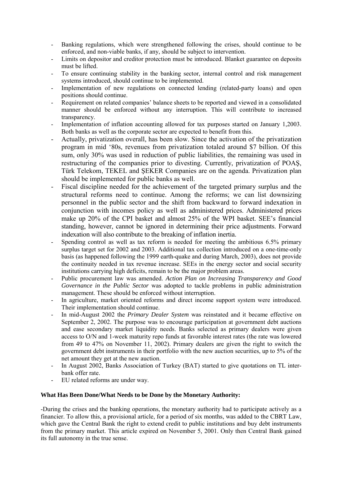- Banking regulations, which were strengthened following the crises, should continue to be enforced, and non-viable banks, if any, should be subject to intervention.
- Limits on depositor and creditor protection must be introduced. Blanket guarantee on deposits must be lifted.
- To ensure continuing stability in the banking sector, internal control and risk management systems introduced, should continue to be implemented.
- Implementation of new regulations on connected lending (related-party loans) and open positions should continue.
- Requirement on related companies' balance sheets to be reported and viewed in a consolidated manner should be enforced without any interruption. This will contribute to increased transparency.
- Implementation of inflation accounting allowed for tax purposes started on January 1,2003. Both banks as well as the corporate sector are expected to benefit from this.
- Actually, privatization overall, has been slow. Since the activation of the privatization program in mid '80s, revenues from privatization totaled around \$7 billion. Of this sum, only 30% was used in reduction of public liabilities, the remaining was used in restructuring of the companies prior to divesting. Currently, privatization of POAŞ, Türk Telekom, TEKEL and ŞEKER Companies are on the agenda. Privatization plan should be implemented for public banks as well.
- Fiscal discipline needed for the achievement of the targeted primary surplus and the structural reforms need to continue. Among the reforms; we can list downsizing personnel in the public sector and the shift from backward to forward indexation in conjunction with incomes policy as well as administered prices. Administered prices make up 20% of the CPI basket and almost 25% of the WPI basket. SEE's financial standing, however, cannot be ignored in determining their price adjustments. Forward indexation will also contribute to the breaking of inflation inertia.
- Spending control as well as tax reform is needed for meeting the ambitious 6.5% primary surplus target set for 2002 and 2003. Additional tax collection introduced on a one-time-only basis (as happened following the 1999 earth-quake and during March, 2003), does not provide the continuity needed in tax revenue increase. SEEs in the energy sector and social security institutions carrying high deficits, remain to be the major problem areas.
- Public procurement law was amended. *Action Plan on Increasing Transparency and Good Governance in the Public Sector* was adopted to tackle problems in public administration management. These should be enforced without interruption.
- In agriculture, market oriented reforms and direct income support system were introduced. Their implementation should continue.
- In mid-August 2002 the *Primary Dealer System* was reinstated and it became effective on September 2, 2002. The purpose was to encourage participation at government debt auctions and ease secondary market liquidity needs. Banks selected as primary dealers were given access to O/N and 1-week maturity repo funds at favorable interest rates (the rate was lowered from 49 to 47% on November 11, 2002). Primary dealers are given the right to switch the government debt instruments in their portfolio with the new auction securities, up to 5% of the net amount they get at the new auction.
- In August 2002, Banks Association of Turkey (BAT) started to give quotations on TL interbank offer rate.
- EU related reforms are under way.

## **What Has Been Done/What Needs to be Done by the Monetary Authority:**

-During the crises and the banking operations, the monetary authority had to participate actively as a financier. To allow this, a provisional article, for a period of six months, was added to the CBRT Law, which gave the Central Bank the right to extend credit to public institutions and buy debt instruments from the primary market. This article expired on November 5, 2001. Only then Central Bank gained its full autonomy in the true sense.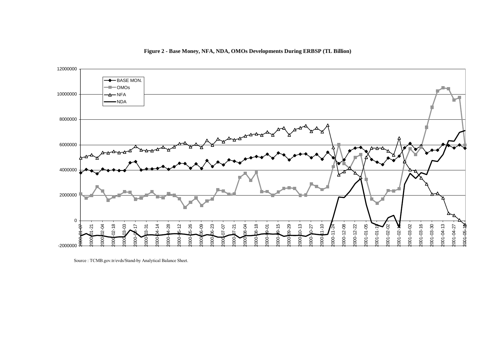

**Figure 2 - Base Money, NFA, NDA, OMOs Developments During ERBSP (TL Billion)**

Source : TCMB.gov.tr/evds/Stand-by Analytical Balance Sheet.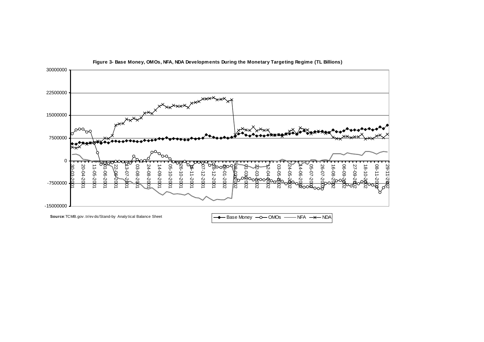

**Figure 3- Base Money, OMOs, NFA, NDA Developments During the Monetary Targeting Regime (TL Billions)**

**Source**:TCMB.gov.tr/ev ds/Stand-by Analy tical Balance Sheet **Analy 1998 Accord Base Money Accord MOS NFA** A NDA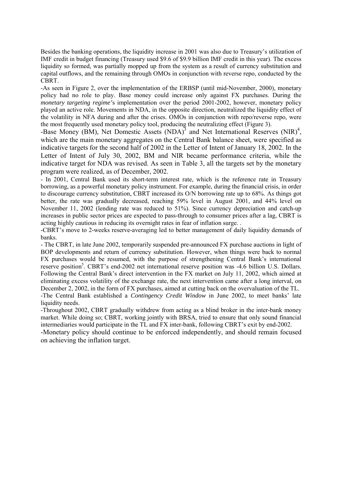Besides the banking operations, the liquidity increase in 2001 was also due to Treasury's utilization of IMF credit in budget financing (Treasury used \$9.6 of \$9.9 billion IMF credit in this year). The excess liquidity so formed, was partially mopped up from the system as a result of currency substitution and capital outflows, and the remaining through OMOs in conjunction with reverse repo, conducted by the CBRT.

-As seen in Figure 2, over the implementation of the ERBSP (until mid-November, 2000), monetary policy had no role to play. Base money could increase only against FX purchases. During the *monetary targeting regime'*s implementation over the period 2001-2002, however, monetary policy played an active role. Movements in NDA, in the opposite direction, neutralized the liquidity effect of the volatility in NFA during and after the crises. OMOs in conjunction with repo/reverse repo, were the most frequently used monetary policy tool, producing the neutralizing effect (Figure 3).

-Base Money (BM), Net Domestic Assets (NDA)<sup>3</sup> and Net International Reserves (NIR)<sup>4</sup>, which are the main monetary aggregates on the Central Bank balance sheet, were specified as indicative targets for the second half of 2002 in the Letter of Intent of January 18, 2002. In the Letter of Intent of July 30, 2002, BM and NIR became performance criteria, while the indicative target for NDA was revised. As seen in Table 3, all the targets set by the monetary program were realized, as of December, 2002.

- In 2001, Central Bank used its short-term interest rate, which is the reference rate in Treasury borrowing, as a powerful monetary policy instrument. For example, during the financial crisis, in order to discourage currency substitution, CBRT increased its O/N borrowing rate up to 68%. As things got better, the rate was gradually decreased, reaching 59% level in August 2001, and 44% level on November 11, 2002 (lending rate was reduced to 51%). Since currency depreciation and catch-up increases in public sector prices are expected to pass-through to consumer prices after a lag, CBRT is acting highly cautious in reducing its overnight rates in fear of inflation surge. .

-CBRT's move to 2-weeks reserve-averaging led to better management of daily liquidity demands of banks.

- The CBRT, in late June 2002, temporarily suspended pre-announced FX purchase auctions in light of BOP developments and return of currency substitution. However, when things were back to normal FX purchases would be resumed, with the purpose of strengthening Central Bank's international reserve position<sup>5</sup>. CBRT's end-2002 net international reserve position was -4.6 billion U.S. Dollars. Following the Central Bank's direct intervention in the FX market on July 11, 2002, which aimed at eliminating excess volatility of the exchange rate, the next intervention came after a long interval, on December 2, 2002, in the form of FX purchases, aimed at cutting back on the overvaluation of the TL.

-The Central Bank established a *Contingency Credit Window* in June 2002, to meet banks' late liquidity needs.

-Throughout 2002, CBRT gradually withdrew from acting as a blind broker in the inter-bank money market. While doing so; CBRT, working jointly with BRSA, tried to ensure that only sound financial intermediaries would participate in the TL and FX inter-bank, following CBRT's exit by end-2002.

-Monetary policy should continue to be enforced independently, and should remain focused on achieving the inflation target.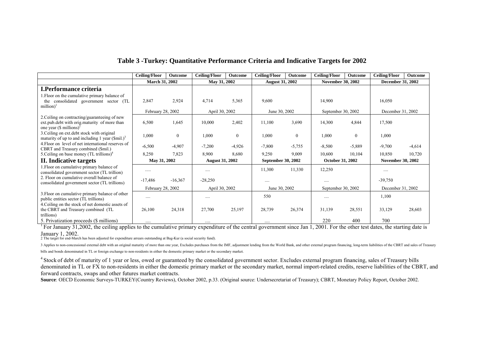| Table 3 - Turkey: Quantitative Performance Criteria and Indicative Targets for 2002 |
|-------------------------------------------------------------------------------------|
|-------------------------------------------------------------------------------------|

|                                                                                                                                        | <b>Ceiling/Floor</b>  | Outcome          | <b>Ceiling/Floor</b>   | Outcome        | <b>Ceiling/Floor</b>   | Outcome          | <b>Ceiling/Floor</b>     | Outcome          | <b>Ceiling/Floor</b>     | <b>Outcome</b> |
|----------------------------------------------------------------------------------------------------------------------------------------|-----------------------|------------------|------------------------|----------------|------------------------|------------------|--------------------------|------------------|--------------------------|----------------|
|                                                                                                                                        | <b>March 31, 2002</b> |                  | May 31, 2002           |                | <b>August 31, 2002</b> |                  | <b>November 30, 2002</b> |                  | <b>December 31, 2002</b> |                |
| <b>I.Performance criteria</b>                                                                                                          |                       |                  |                        |                |                        |                  |                          |                  |                          |                |
| I. Floor on the cumulative primary balance of<br>the consolidated government sector (TL<br>million) <sup>1</sup>                       | 2,847                 | 2,924            | 4,714                  | 5,365          | 9,600                  |                  | 14,900                   |                  | 16,050                   |                |
|                                                                                                                                        | February 28, 2002     |                  | April 30, 2002         |                | June 30, 2002          |                  | September 30, 2002       |                  | December 31, 2002        |                |
| 2. Ceiling on contracting/guaranteeing of new<br>ext.pub.debt with orig.maturity of more than<br>one year $(\$$ millions) <sup>2</sup> | 6,500                 | 1,645            | 10,000                 | 2,402          | 11,100                 | 3,690            | 14,300                   | 4,844            | 17,500                   |                |
| 3. Ceiling on ext. debt stock with original<br>maturity of up to and including 1 year $(\text{Smil.})^3$                               | 1,000                 | $\boldsymbol{0}$ | 1,000                  | $\overline{0}$ | 1,000                  | $\boldsymbol{0}$ | 1,000                    | $\boldsymbol{0}$ | 1,000                    |                |
| 4. Floor on level of net international reserves of<br>CBRT and Treasury combined (\$mil.)                                              | $-6,500$              | $-4,907$         | $-7,200$               | $-4,926$       | $-7,800$               | $-5,755$         | $-8,500$                 | $-5,889$         | $-9,700$                 | $-4,614$       |
| 5. Ceiling on base money $(TL \, trillions)^4$                                                                                         | 8,250                 | 7,823            | 8,900                  | 8,680          | 9,250                  | 9,009            | 10,600                   | 10,104           | 10,850                   | 10,720         |
| II. Indicative targets                                                                                                                 | May 31, 2002          |                  | <b>August 31, 2002</b> |                | September 30, 2002     |                  | <b>October 31, 2002</b>  |                  | <b>November 30, 2002</b> |                |
| 1. Floor on cumulative primary balance of<br>consolidated government sector (TL trillion)                                              |                       |                  |                        |                | 11,300                 | 11,330           | 12,250                   |                  | $\cdots$                 |                |
| 2. Floor on cumulative overall balance of<br>consolidated government sector (TL trillions)                                             | $-17,486$             | $-16,367$        | $-28,250$              |                |                        |                  |                          |                  | $-39,750$                |                |
|                                                                                                                                        | February 28, 2002     |                  | April 30, 2002         |                | June 30, 2002          |                  | September 30, 2002       |                  | December 31, 2002        |                |
| 3. Floor on cumulative primary balance of other<br>public entities sector (TL trillions)                                               |                       |                  |                        |                | 550                    |                  |                          |                  | 1,100                    |                |
| 4. Ceiling on the stock of net domestic assets of<br>the CBRT and Treasury combined (TL<br>trillions)                                  | 26,100                | 24,318           | 27,700                 | 25,197         | 28,739                 | 26,374           | 31,139                   | 28,551           | 33,129                   | 28,603         |
| 5. Privatization proceeds (\$ millions)                                                                                                |                       |                  | $\cdots$               |                | $\cdots$               |                  | 220                      | 400              | 700                      |                |

<sup>1</sup> For January 31,2002, the ceiling applies to the cumulative primary expenditure of the central government since Jan 1, 2001. For the other test dates, the starting date is January 1, 2002.

2 The target for end-March has been adjusted for expenditure arrears outstanding at Bag-Kur (a social security fund).

3 Applies to non-concessional external debt with an original maturity of more than one year, Excludes purchases from the IMF, adjustment lending from the World Bank, and other external program financing, long-term liabilit bills and bonds denominated in TL or foreign exchange to non-residents in either the domestic primary market or the secondary market.

<sup>4</sup> Stock of debt of maturity of 1 year or less, owed or guaranteed by the consolidated government sector. Excludes external program financing, sales of Treasury bills denominated in TL or FX to non-residents in either the domestic primary market or the secondary market, normal import-related credits, reserve liabilities of the CBRT, and forward contracts, swaps and other futures market contracts.

**Source**: OECD Economic Surveys-TURKEY(Country Reviews), October 2002, p.33. (Original source: Undersecretariat of Treasury); CBRT, Monetary Policy Report, October 2002.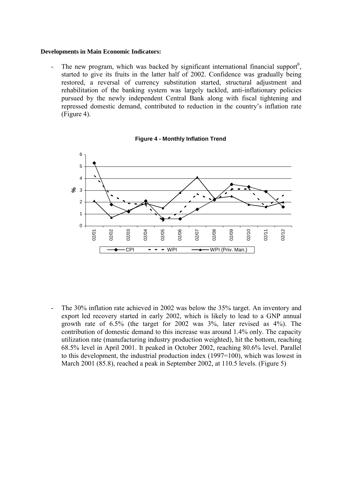#### **Developments in Main Economic Indicators:**

- The new program, which was backed by significant international financial support<sup>6</sup>, started to give its fruits in the latter half of 2002. Confidence was gradually being restored, a reversal of currency substitution started, structural adjustment and rehabilitation of the banking system was largely tackled, anti-inflationary policies pursued by the newly independent Central Bank along with fiscal tightening and repressed domestic demand, contributed to reduction in the country's inflation rate (Figure 4).



**Figure 4 - Monthly Inflation Trend**

- The 30% inflation rate achieved in 2002 was below the 35% target. An inventory and export led recovery started in early 2002, which is likely to lead to a GNP annual growth rate of 6.5% (the target for 2002 was 3%, later revised as 4%). The contribution of domestic demand to this increase was around 1.4% only. The capacity utilization rate (manufacturing industry production weighted), hit the bottom, reaching 68.5% level in April 2001. It peaked in October 2002, reaching 80.6% level. Parallel to this development, the industrial production index (1997=100), which was lowest in March 2001 (85.8), reached a peak in September 2002, at 110.5 levels. (Figure 5)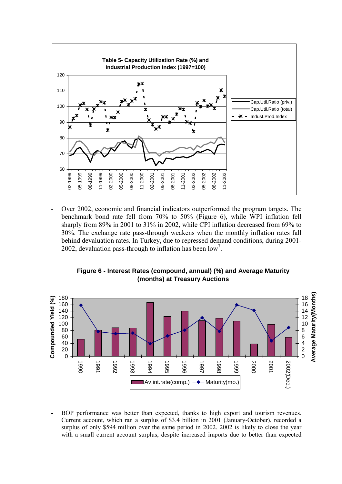

- Over 2002, economic and financial indicators outperformed the program targets. The benchmark bond rate fell from 70% to 50% (Figure 6), while WPI inflation fell sharply from 89% in 2001 to 31% in 2002, while CPI inflation decreased from 69% to 30%. The exchange rate pass-through weakens when the monthly inflation rates fall behind devaluation rates. In Turkey, due to repressed demand conditions, during 2001- 2002, devaluation pass-through to inflation has been  $\text{low}^7$ .





BOP performance was better than expected, thanks to high export and tourism revenues. Current account, which ran a surplus of \$3.4 billion in 2001 (January-October), recorded a surplus of only \$594 million over the same period in 2002. 2002 is likely to close the year with a small current account surplus, despite increased imports due to better than expected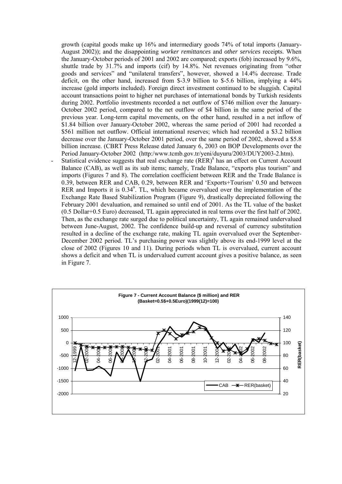growth (capital goods make up 16% and intermediary goods 74% of total imports (January-August 2002)); and the disappointing *worker remittances* and *other services* receipts. When the January-October periods of 2001 and 2002 are compared; exports (fob) increased by 9.6%, shuttle trade by 31.7% and imports (cif) by 14.8%. Net revenues originating from "other goods and services" and "unilateral transfers", however, showed a 14.4% decrease. Trade deficit, on the other hand, increased from \$-3.9 billion to \$-5.6 billion, implying a 44% increase (gold imports included). Foreign direct investment continued to be sluggish. Capital account transactions point to higher net purchases of international bonds by Turkish residents during 2002. Portfolio investments recorded a net outflow of \$746 million over the January-October 2002 period, compared to the net outflow of \$4 billion in the same period of the previous year. Long-term capital movements, on the other hand, resulted in a net inflow of \$1.84 billion over January-October 2002, whereas the same period of 2001 had recorded a \$561 million net outflow. Official international reserves; which had recorded a \$3.2 billion decrease over the January-October 2001 period, over the same period of 2002, showed a \$5.8 billion increase. (CBRT Press Release dated January 6, 2003 on BOP Developments over the Period January-October 2002 (http:/www.tcmb.gov.tr/yeni/duyuru/2003/DUY2003-2.htm).

- Statistical evidence suggests that real exchange rate (RER)<sup>8</sup> has an effect on Current Account Balance (CAB), as well as its sub items; namely, Trade Balance, "exports plus tourism" and imports (Figures 7 and 8). The correlation coefficient between RER and the Trade Balance is 0.39, between RER and CAB, 0.29, between RER and 'Exports+Tourism' 0.50 and between RER and Imports it is  $0.34^\circ$ . TL, which became overvalued over the implementation of the Exchange Rate Based Stabilization Program (Figure 9), drastically depreciated following the February 2001 devaluation, and remained so until end of 2001. As the TL value of the basket (0.5 Dollar+0.5 Euro) decreased, TL again appreciated in real terms over the first half of 2002. Then, as the exchange rate surged due to political uncertainty, TL again remained undervalued between June-August, 2002. The confidence build-up and reversal of currency substitution resulted in a decline of the exchange rate, making TL again overvalued over the September-December 2002 period. TL's purchasing power was slightly above its end-1999 level at the close of 2002 (Figures 10 and 11). During periods when TL is overvalued, current account shows a deficit and when TL is undervalued current account gives a positive balance, as seen in Figure 7.

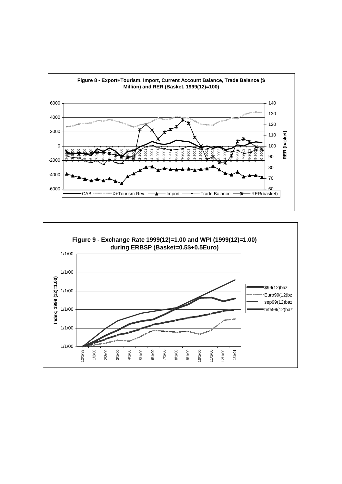

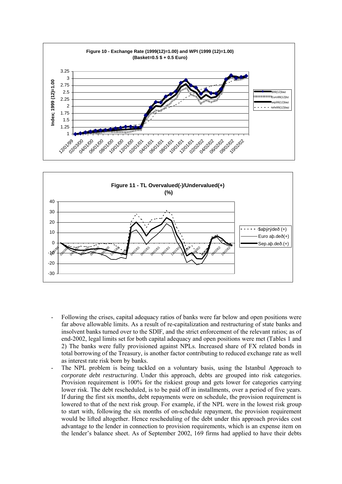



- Following the crises, capital adequacy ratios of banks were far below and open positions were far above allowable limits. As a result of re-capitalization and restructuring of state banks and insolvent banks turned over to the SDIF, and the strict enforcement of the relevant ratios; as of end-2002, legal limits set for both capital adequacy and open positions were met (Tables 1 and 2) The banks were fully provisioned against NPLs. Increased share of FX related bonds in total borrowing of the Treasury, is another factor contributing to reduced exchange rate as well as interest rate risk born by banks.
- The NPL problem is being tackled on a voluntary basis, using the Istanbul Approach to *corporate debt restructuring*. Under this approach, debts are grouped into risk categories. Provision requirement is 100% for the riskiest group and gets lower for categories carrying lower risk. The debt rescheduled, is to be paid off in installments, over a period of five years. If during the first six months, debt repayments were on schedule, the provision requirement is lowered to that of the next risk group. For example, if the NPL were in the lowest risk group to start with, following the six months of on-schedule repayment, the provision requirement would be lifted altogether. Hence rescheduling of the debt under this approach provides cost advantage to the lender in connection to provision requirements, which is an expense item on the lender's balance sheet. As of September 2002, 169 firms had applied to have their debts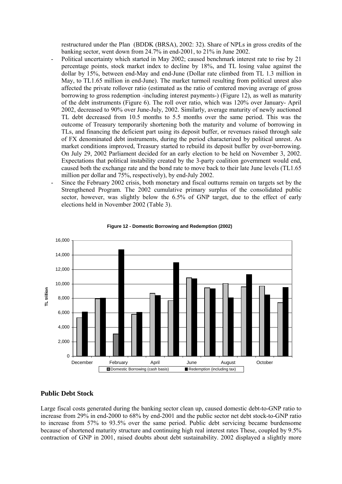restructured under the Plan (BDDK (BRSA), 2002: 32). Share of NPLs in gross credits of the banking sector, went down from 24.7% in end-2001, to 21% in June 2002.

- Political uncertainty which started in May 2002; caused benchmark interest rate to rise by 21 percentage points, stock market index to decline by 18%, and TL losing value against the dollar by 15%, between end-May and end-June (Dollar rate climbed from TL 1.3 million in May, to TL1.65 million in end-June). The market turmoil resulting from political unrest also affected the private rollover ratio (estimated as the ratio of centered moving average of gross borrowing to gross redemption -including interest payments-) (Figure 12), as well as maturity of the debt instruments (Figure 6). The roll over ratio, which was 120% over January- April 2002, decreased to 90% over June-July, 2002. Similarly, average maturity of newly auctioned TL debt decreased from 10.5 months to 5.5 months over the same period. This was the outcome of Treasury temporarily shortening both the maturity and volume of borrowing in TLs, and financing the deficient part using its deposit buffer, or revenues raised through sale of FX denominated debt instruments, during the period characterized by political unrest. As market conditions improved, Treasury started to rebuild its deposit buffer by over-borrowing. On July 29, 2002 Parliament decided for an early election to be held on November 3, 2002. Expectations that political instability created by the 3-party coalition government would end, caused both the exchange rate and the bond rate to move back to their late June levels (TL1.65 million per dollar and 75%, respectively), by end-July 2002.
- Since the February 2002 crisis, both monetary and fiscal outturns remain on targets set by the Strengthened Program. The 2002 cumulative primary surplus of the consolidated public sector, however, was slightly below the 6.5% of GNP target, due to the effect of early elections held in November 2002 (Table 3).



#### **Figure 12 - Domestic Borrowing and Redemption (2002)**

#### **Public Debt Stock**

Large fiscal costs generated during the banking sector clean up, caused domestic debt-to-GNP ratio to increase from 29% in end-2000 to 68% by end-2001 and the public sector net debt stock-to-GNP ratio to increase from 57% to 93.5% over the same period. Public debt servicing became burdensome because of shortened maturity structure and continuing high real interest rates These, coupled by 9.5% contraction of GNP in 2001, raised doubts about debt sustainability. 2002 displayed a slightly more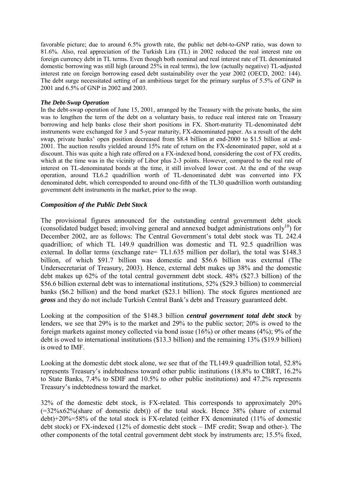favorable picture; due to around 6.5% growth rate, the public net debt-to-GNP ratio, was down to 81.6%. Also, real appreciation of the Turkish Lira (TL) in 2002 reduced the real interest rate on foreign currency debt in TL terms. Even though both nominal and real interest rate of TL denominated domestic borrowing was still high (around 25% in real terms), the low (actually negative) TL-adjusted interest rate on foreign borrowing eased debt sustainability over the year 2002 (OECD, 2002: 144). The debt surge necessitated setting of an ambitious target for the primary surplus of 5.5% of GNP in 2001 and 6.5% of GNP in 2002 and 2003.

#### *The Debt-Swap Operation*

In the debt-swap operation of June 15, 2001, arranged by the Treasury with the private banks, the aim was to lengthen the term of the debt on a voluntary basis, to reduce real interest rate on Treasury borrowing and help banks close their short positions in FX. Short-maturity TL-denominated debt instruments were exchanged for 3 and 5-year maturity, FX-denominated paper. As a result of the debt swap, private banks' open position decreased from \$8.4 billion at end-2000 to \$1.5 billion at end-2001. The auction results yielded around 15% rate of return on the FX-denominated paper, sold at a discount. This was quite a high rate offered on a FX-indexed bond, considering the cost of FX credits, which at the time was in the vicinity of Libor plus 2-3 points. However, compared to the real rate of interest on TL-denominated bonds at the time, it still involved lower cost. At the end of the swap operation, around TL6.2 quadrillion worth of TL-denominated debt was converted into FX denominated debt, which corresponded to around one-fifth of the TL30 quadrillion worth outstanding government debt instruments in the market, prior to the swap.

## *Composition of the Public Debt Stock*

The provisional figures announced for the outstanding central government debt stock (consolidated budget based; involving general and annexed budget administrations only<sup>10</sup>) for December 2002, are as follows: The Central Government's total debt stock was TL 242.4 quadrillion; of which TL 149.9 quadrillion was domestic and TL 92.5 quadrillion was external. In dollar terms (exchange rate= TL1.635 million per dollar), the total was \$148.3 billion, of which \$91.7 billion was domestic and \$56.6 billion was external (The Undersecretariat of Treasury, 2003). Hence, external debt makes up 38% and the domestic debt makes up 62% of the total central government debt stock. 48% (\$27.3 billion) of the \$56.6 billion external debt was to international institutions, 52% (\$29.3 billion) to commercial banks (\$6.2 billion) and the bond market (\$23.1 billion). The stock figures mentioned are *gross* and they do not include Turkish Central Bank's debt and Treasury guaranteed debt.

Looking at the composition of the \$148.3 billion *central government total debt stock* by lenders, we see that 29% is to the market and 29% to the public sector; 20% is owed to the foreign markets against money collected via bond issue (16%) or other means (4%); 9% of the debt is owed to international institutions (\$13.3 billion) and the remaining 13% (\$19.9 billion) is owed to IMF.

Looking at the domestic debt stock alone, we see that of the TL149.9 quadrillion total, 52.8% represents Treasury's indebtedness toward other public institutions (18.8% to CBRT, 16.2% to State Banks, 7.4% to SDIF and 10.5% to other public institutions) and 47.2% represents Treasury's indebtedness toward the market.

32% of the domestic debt stock, is FX-related. This corresponds to approximately 20%  $(=32\%x62\%$ (share of domestic debt)) of the total stock. Hence 38% (share of external debt)+20%=58% of the total stock is FX-related (either FX denominated (11% of domestic debt stock) or FX-indexed (12% of domestic debt stock – IMF credit; Swap and other-). The other components of the total central government debt stock by instruments are; 15.5% fixed,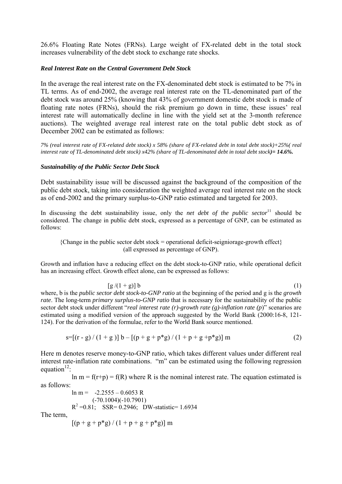26.6% Floating Rate Notes (FRNs). Large weight of FX-related debt in the total stock increases vulnerability of the debt stock to exchange rate shocks.

#### *Real Interest Rate on the Central Government Debt Stock*

In the average the real interest rate on the FX-denominated debt stock is estimated to be 7% in TL terms. As of end-2002, the average real interest rate on the TL-denominated part of the debt stock was around 25% (knowing that 43% of government domestic debt stock is made of floating rate notes (FRNs), should the risk premium go down in time, these issues' real interest rate will automatically decline in line with the yield set at the 3-month reference auctions). The weighted average real interest rate on the total public debt stock as of December 2002 can be estimated as follows:

*7% (real interest rate of FX-related debt stock) x 58% (share of FX-related debt in total debt stock)+25%( real interest rate of TL-denominated debt stock) x42% (share of TL-denominated debt in total debt stock)= 14.6%.*

#### *Sustainability of the Public Sector Debt Stock*

Debt sustainability issue will be discussed against the background of the composition of the public debt stock, taking into consideration the weighted average real interest rate on the stock as of end-2002 and the primary surplus-to-GNP ratio estimated and targeted for 2003.

In discussing the debt sustainability issue, only the *net debt of the public sector*<sup>11</sup> should be considered. The change in public debt stock, expressed as a percentage of GNP, can be estimated as follows:

 ${Change in the public sector debt stock = operational deficit-seigniorage growth effect}$ (all expressed as percentage of GNP).

Growth and inflation have a reducing effect on the debt stock-to-GNP ratio, while operational deficit has an increasing effect. Growth effect alone, can be expressed as follows:

$$
[g/(1+g)] b
$$
\n(1)

\n*public sector debt stock-to-GNP ratio* at the beginning of the period and g is the *growth*

where, b is the *p rate*. The long-term *primary surplus-to-GNP ratio* that is necessary for the sustainability of the public sector debt stock under different "*real interest rate (r)-growth rate (g)-inflation rate (p*)" scenarios are estimated using a modified version of the approach suggested by the World Bank (2000:16-8, 121- 124). For the derivation of the formulae, refer to the World Bank source mentioned.

$$
s=[(r-g)/(1+g)]b-[(p+g+p*g)/(1+p+g+p*g)]m
$$
 (2)

Here m denotes reserve money-to-GNP ratio, which takes different values under different real interest rate-inflation rate combinations. "m" can be estimated using the following regression equation $12$ :

 $\ln m = f(r+p) = f(R)$  where R is the nominal interest rate. The equation estimated is as follows:

> $ln m = -2.2555 - 0.6053 R$ (-70.1004)(-10.7901)  $R^2 = 0.81$ ; SSR= 0.2946; DW-statistic= 1.6934

The term,

$$
[(p + g + p * g) / (1 + p + g + p * g)] m
$$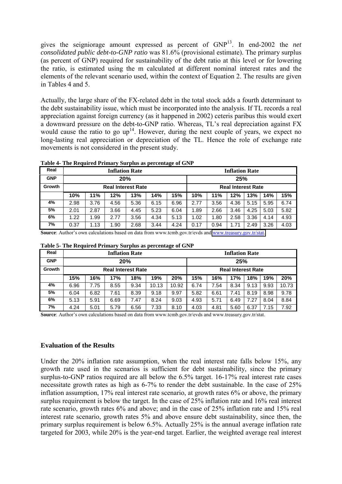gives the seigniorage amount expressed as percent of GNP13. In end-2002 the *net consolidated public debt-to-GNP ratio* was 81.6% (provisional estimate). The primary surplus (as percent of GNP) required for sustainability of the debt ratio at this level or for lowering the ratio, is estimated using the m calculated at different nominal interest rates and the elements of the relevant scenario used, within the context of Equation 2. The results are given in Tables 4 and 5.

Actually, the large share of the FX-related debt in the total stock adds a fourth determinant to the debt sustainability issue, which must be incorporated into the analysis. If TL records a real appreciation against foreign currency (as it happened in 2002) ceteris paribus this would exert a downward pressure on the debt-to-GNP ratio. Whereas, TL's real depreciation against FX would cause the ratio to go  $up<sup>14</sup>$ . However, during the next couple of years, we expect no long-lasting real appreciation or depreciation of the TL. Hence the role of exchange rate movements is not considered in the present study.

| Real       | <b>Inflation Rate</b>     |      |      |      |      |      |                           | <b>Inflation Rate</b> |      |      |      |      |  |
|------------|---------------------------|------|------|------|------|------|---------------------------|-----------------------|------|------|------|------|--|
| <b>GNP</b> | 20%                       |      |      |      |      |      | 25%                       |                       |      |      |      |      |  |
| Growth     | <b>Real Interest Rate</b> |      |      |      |      |      | <b>Real Interest Rate</b> |                       |      |      |      |      |  |
|            | 10%                       | 11%  | 12%  | 13%  | 14%  | 15%  | 10%                       | 11%                   | 12%  | 13%  | 14%  | 15%  |  |
| 4%         | 2.98                      | 3.76 | 4.56 | 5.36 | 6.15 | 6.96 | 2.77                      | 3.56                  | 4.36 | 5.15 | 5.95 | 6.74 |  |
| 5%         | 2.01                      | 2.87 | 3.66 | 4.45 | 5.23 | 6.04 | 1.89                      | 2.66                  | 3.46 | 4.25 | 5.03 | 5.82 |  |
| 6%         | 1.22                      | 1.99 | 2.77 | 3.56 | 4.34 | 5.13 | 1.02                      | 1.80                  | 2.58 | 3.36 | 4.14 | 4.93 |  |
| 7%         | 0.37                      | 1.13 | 1.90 | 2.68 | 3.44 | 4.24 | 0.17                      | 0.94                  | 1.71 | 2.49 | 3.26 | 4.03 |  |

**Table 4- The Required Primary Surplus as percentage of GNP**

**Source**: Author's own calculations based on data from www.tcmb.gov.tr/evds and www.treasury.gov.tr/stat.

| Table 5- The Required Primary Surplus as percentage of GNP |  |  |
|------------------------------------------------------------|--|--|
|------------------------------------------------------------|--|--|

| Real       | <b>Inflation Rate</b>     |      |      |      |       |       |                           | <b>Inflation Rate</b> |      |      |      |       |  |
|------------|---------------------------|------|------|------|-------|-------|---------------------------|-----------------------|------|------|------|-------|--|
| <b>GNP</b> | 20%                       |      |      |      |       |       | 25%                       |                       |      |      |      |       |  |
| Growth     | <b>Real Interest Rate</b> |      |      |      |       |       | <b>Real Interest Rate</b> |                       |      |      |      |       |  |
|            | 15%                       | 16%  | 17%  | 18%  | 19%   | 20%   | 15%                       | 16%                   | 17%  | 18%  | 19%  | 20%   |  |
| 4%         | 6.96                      | 7.75 | 8.55 | 9.34 | 10.13 | 10.92 | 6.74                      | 7.54                  | 8.34 | 9.13 | 9.93 | 10.73 |  |
| 5%         | 6.04                      | 6.82 | 7.61 | 8.39 | 9.18  | 9.97  | 5.82                      | 6.61                  | 7.41 | 8.19 | 8.98 | 9.78  |  |
| 6%         | 5.13                      | 5.91 | 6.69 | 7.47 | 8.24  | 9.03  | 4.93                      | 5.71                  | 6.49 | 7.27 | 8.04 | 8.84  |  |
| 7%         | 4.24                      | 5.01 | 5.79 | 6.56 | 7.33  | 8.10  | 4.03                      | 4.81                  | 5.60 | 6.37 | 7.15 | 7.92  |  |

**Source**: Author's own calculations based on data from www.tcmb.gov.tr/evds and www.treasury.gov.tr/stat.

#### **Evaluation of the Results**

Under the 20% inflation rate assumption, when the real interest rate falls below 15%, any growth rate used in the scenarios is sufficient for debt sustainability, since the primary surplus-to-GNP ratios required are all below the 6.5% target. 16-17% real interest rate cases necessitate growth rates as high as 6-7% to render the debt sustainable. In the case of 25% inflation assumption, 17% real interest rate scenario, at growth rates 6% or above, the primary surplus requirement is below the target. In the case of 25% inflation rate and 16% real interest rate scenario, growth rates 6% and above; and in the case of 25% inflation rate and 15% real interest rate scenario, growth rates 5% and above ensure debt sustainability, since then, the primary surplus requirement is below 6.5%. Actually 25% is the annual average inflation rate targeted for 2003, while 20% is the year-end target. Earlier, the weighted average real interest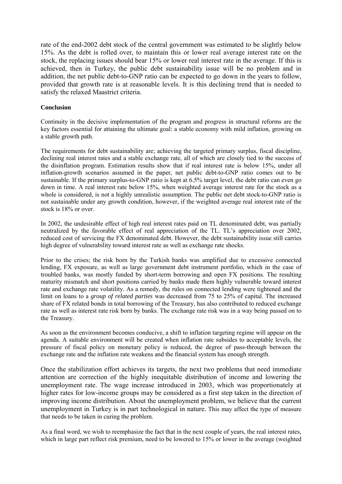rate of the end-2002 debt stock of the central government was estimated to be slightly below 15%. As the debt is rolled over, to maintain this or lower real average interest rate on the stock, the replacing issues should bear 15% or lower real interest rate in the average. If this is achieved, then in Turkey, the public debt sustainability issue will be no problem and in addition, the net public debt-to-GNP ratio can be expected to go down in the years to follow, provided that growth rate is at reasonable levels. It is this declining trend that is needed to satisfy the relaxed Maastrict criteria.

#### **Conclusion**

Continuity in the decisive implementation of the program and progress in structural reforms are the key factors essential for attaining the ultimate goal: a stable economy with mild inflation, growing on a stable growth path.

The requirements for debt sustainability are; achieving the targeted primary surplus, fiscal discipline, declining real interest rates and a stable exchange rate, all of which are closely tied to the success of the disinflation program. Estimation results show that if real interest rate is below 15%, under all inflation-growth scenarios assumed in the paper, net public debt-to-GNP ratio comes out to be sustainable. If the primary surplus-to-GNP ratio is kept at 6.5% target level, the debt ratio can even go down in time. A real interest rate below 15%, when weighted average interest rate for the stock as a whole is considered, is not a highly unrealistic assumption. The public net debt stock-to-GNP ratio is not sustainable under any growth condition, however, if the weighted average real interest rate of the stock is 18% or over.

In 2002, the undesirable effect of high real interest rates paid on TL denominated debt, was partially neutralized by the favorable effect of real appreciation of the TL. TL's appreciation over 2002, reduced cost of servicing the FX denominated debt. However, the debt sustainability issue still carries high degree of vulnerability toward interest rate as well as exchange rate shocks.

Prior to the crises; the risk born by the Turkish banks was amplified due to excessive connected lending, FX exposure, as well as large government debt instrument portfolio, which in the case of troubled banks, was mostly funded by short-term borrowing and open FX positions. The resulting maturity mismatch and short positions carried by banks made them highly vulnerable toward interest rate and exchange rate volatility. As a remedy, the rules on connected lending were tightened and the limit on loans to a *group of related parties* was decreased from 75 to 25% of capital. The increased share of FX related bonds in total borrowing of the Treasury, has also contributed to reduced exchange rate as well as interest rate risk born by banks. The exchange rate risk was in a way being passed on to the Treasury.

As soon as the environment becomes conducive, a shift to inflation targeting regime will appear on the agenda. A suitable environment will be created when inflation rate subsides to acceptable levels, the pressure of fiscal policy on monetary policy is reduced, the degree of pass-through between the exchange rate and the inflation rate weakens and the financial system has enough strength.

Once the stabilization effort achieves its targets, the next two problems that need immediate attention are correction of the highly inequitable distribution of income and lowering the unemployment rate. The wage increase introduced in 2003, which was proportionately at higher rates for low-income groups may be considered as a first step taken in the direction of improving income distribution. About the unemployment problem, we believe that the current unemployment in Turkey is in part technological in nature. This may affect the type of measure that needs to be taken in curing the problem.

As a final word, we wish to reemphasize the fact that in the next couple of years, the real interest rates, which in large part reflect risk premium, need to be lowered to 15% or lower in the average (weighted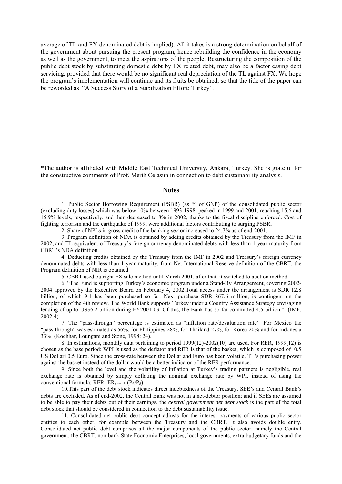average of TL and FX-denominated debt is implied). All it takes is a strong determination on behalf of the government about pursuing the present program, hence rebuilding the confidence in the economy as well as the government, to meet the aspirations of the people. Restructuring the composition of the public debt stock by substituting domestic debt by FX related debt, may also be a factor easing debt servicing, provided that there would be no significant real depreciation of the TL against FX. We hope the program's implementation will continue and its fruits be obtained, so that the title of the paper can be reworded as "A Success Story of a Stabilization Effort: Turkey".

**\***The author is affiliated with Middle East Technical University, Ankara, Turkey. She is grateful for the constructive comments of Prof. Merih Celasun in connection to debt sustainability analysis.

#### **Notes**

1. Public Sector Borrowing Requirement (PSBR) (as % of GNP) of the consolidated public sector (excluding duty losses) which was below 10% between 1993-1998, peaked in 1999 and 2001, reaching 15.6 and 15.9% levels, respectively, and then decreased to 8% in 2002, thanks to the fiscal discipline enforced. Cost of fighting terrorism and the earthquake of 1999, were additional factors contributing to surging PSBR.

2. Share of NPLs in gross credit of the banking sector increased to 24.7% as of end-2001.

3. Program definition of NDA is obtained by adding credits obtained by the Treasury from the IMF in 2002, and TL equivalent of Treasury's foreign currency denominated debts with less than 1-year maturity from CBRT's NDA definition.

4. Deducting credits obtained by the Treasury from the IMF in 2002 and Treasury's foreign currency denominated debts with less than 1-year maturity, from Net International Reserve definition of the CBRT, the Program definition of NIR is obtained

5. CBRT used outright FX sale method until March 2001, after that, it switched to auction method.

6. "The Fund is supporting Turkey's economic program under a Stand-By Arrangement, covering 2002- 2004 approved by the Executive Board on February 4, 2002.Total access under the arrangement is SDR 12.8 billion, of which 9.1 has been purchased so far. Next purchase SDR 867.6 million, is contingent on the completion of the 4th review. The World Bank supports Turkey under a Country Assistance Strategy envisaging lending of up to US\$6.2 billion during FY2001-03. Of this, the Bank has so far committed 4.5 billion." (IMF, 2002:4).

7. The "pass-through" percentage is estimated as "inflation rate/devaluation rate". For Mexico the "pass-through" was estimated as 56%, for Philippines 28%, for Thailand 27%, for Korea 20% and for Indonesia 33%. (Kochhar, Loungani and Stone, 1998: 24).

8. In estimations, monthly data pertaining to period 1999(12)-2002(10) are used. For RER, 1999(12) is chosen as the base period; WPI is used as the deflator and RER is that of the basket, which is composed of 0.5 US Dollar+0.5 Euro. Since the cross-rate between the Dollar and Euro has been volatile, TL's purchasing power against the basket instead of the dollar would be a better indicator of the RER performance.

9. Since both the level and the volatility of inflation at Turkey's trading partners is negligible, real exchange rate is obtained by simply deflating the nominal exchange rate by WPI, instead of using the conventional formula;  $RER=ER_{nom}$  x  $(P_f/P_d)$ .

10.This part of the debt stock indicates direct indebtedness of the Treasury. SEE's and Central Bank's debts are excluded. As of end-2002, the Central Bank was not in a net-debtor position; and if SEEs are assumed to be able to pay their debts out of their earnings, the *central government net debt stock* is the part of the total debt stock that should be considered in connection to the debt sustainability issue.

11. Consolidated net public debt concept adjusts for the interest payments of various public sector entities to each other, for example between the Treasury and the CBRT. It also avoids double entry. Consolidated net public debt comprises all the major components of the public sector, namely the Central government, the CBRT, non-bank State Economic Enterprises, local governments, extra budgetary funds and the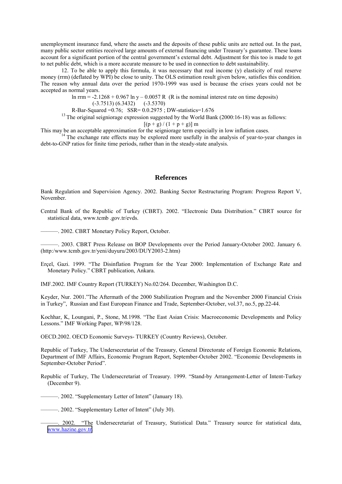unemployment insurance fund, where the assets and the deposits of these public units are netted out. In the past, many public sector entities received large amounts of external financing under Treasury's guarantee. These loans account for a significant portion of the central government's external debt. Adjustment for this too is made to get to net public debt, which is a more accurate measure to be used in connection to debt sustainability.

12. To be able to apply this formula, it was necessary that real income (y) elasticity of real reserve money (rrm) (deflated by WPI) be close to unity. The OLS estimation result given below, satisfies this condition. The reason why annual data over the period 1970-1999 was used is because the crises years could not be accepted as normal years.

> ln rrm =  $-2.1268 + 0.967$  ln y  $- 0.0057$  R (R is the nominal interest rate on time deposits) (-3.7513) (6.3432) (-3.5370)

R-Bar-Squared =0.76; SSR= 0.0.2975 ; DW-statistics=1.676

<sup>13</sup> The original seigniorage expression suggested by the World Bank (2000:16-18) was as follows:

 $[(p+g)/(1+p+g)]$  m

This may be an acceptable approximation for the seigniorage term especially in low inflation cases.<br><sup>14</sup> The exchange rate effects may be explored more usefully in the analysis of year-to-year changes in debt-to-GNP ratios for finite time periods, rather than in the steady-state analysis.

#### **References**

Bank Regulation and Supervision Agency. 2002. Banking Sector Restructuring Program: Progress Report V, November.

Central Bank of the Republic of Turkey (CBRT). 2002. "Electronic Data Distribution." CBRT source for statistical data, www.tcmb .gov.tr/evds.

———. 2002. CBRT Monetary Policy Report, October.

———. 2003. CBRT Press Release on BOP Developments over the Period January-October 2002. January 6. (http:/www.tcmb.gov.tr/yeni/duyuru/2003/DUY2003-2.htm)

Erçel, Gazi. 1999. "The Disinflation Program for the Year 2000: Implementation of Exchange Rate and Monetary Policy." CBRT publication, Ankara.

IMF.2002. IMF Country Report (TURKEY) No.02/264. December, Washington D.C.

Keyder, Nur. 2001."The Aftermath of the 2000 Stabilization Program and the November 2000 Financial Crisis in Turkey", Russian and East European Finance and Trade, September-October, vol.37, no.5, pp.22-44.

Kochhar, K, Loungani, P., Stone, M.1998. "The East Asian Crisis: Macroeconomic Developments and Policy Lessons." IMF Working Paper, WP/98/128.

OECD.2002. OECD Economic Surveys- TURKEY (Country Reviews), October.

Republic of Turkey, The Undersecretariat of the Treasury, General Directorate of Foreign Economic Relations, Department of IMF Affairs, Economic Program Report, September-October 2002. "Economic Developments in September-October Period".

Republic of Turkey, The Undersecretariat of Treasury. 1999. "Stand-by Arrangement-Letter of Intent-Turkey (December 9).

- ———. 2002. "Supplementary Letter of Intent" (January 18).
- ———. 2002. "Supplementary Letter of Intent" (July 30).

<sup>———. 2002. &</sup>quot;The Undersecretariat of Treasury, Statistical Data." Treasury source for statistical data, www.hazine.gov.tr.